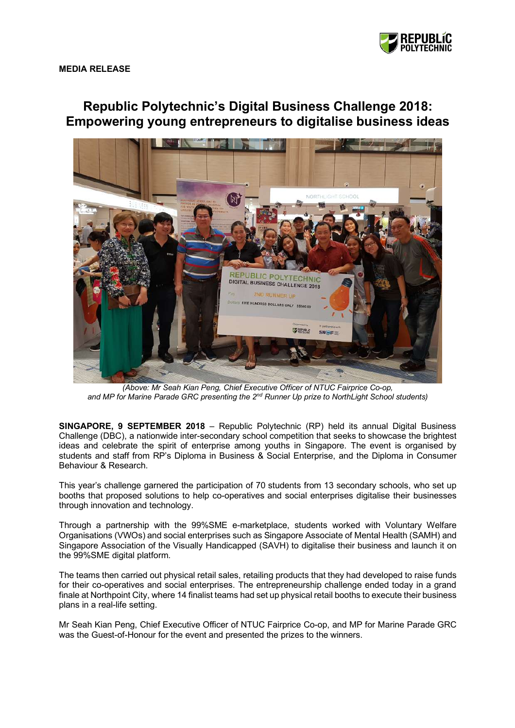

## **Republic Polytechnic's Digital Business Challenge 2018: Empowering young entrepreneurs to digitalise business ideas**



*(Above: Mr Seah Kian Peng, Chief Executive Officer of NTUC Fairprice Co-op, and MP for Marine Parade GRC presenting the 2nd Runner Up prize to NorthLight School students)*

**SINGAPORE, 9 SEPTEMBER 2018** – Republic Polytechnic (RP) held its annual Digital Business Challenge (DBC), a nationwide inter-secondary school competition that seeks to showcase the brightest ideas and celebrate the spirit of enterprise among youths in Singapore. The event is organised by students and staff from RP's Diploma in Business & Social Enterprise, and the Diploma in Consumer Behaviour & Research.

This year's challenge garnered the participation of 70 students from 13 secondary schools, who set up booths that proposed solutions to help co-operatives and social enterprises digitalise their businesses through innovation and technology.

Through a partnership with the 99%SME e-marketplace, students worked with Voluntary Welfare Organisations (VWOs) and social enterprises such as Singapore Associate of Mental Health (SAMH) and Singapore Association of the Visually Handicapped (SAVH) to digitalise their business and launch it on the 99%SME digital platform.

The teams then carried out physical retail sales, retailing products that they had developed to raise funds for their co-operatives and social enterprises. The entrepreneurship challenge ended today in a grand finale at Northpoint City, where 14 finalist teams had set up physical retail booths to execute their business plans in a real-life setting.

Mr Seah Kian Peng, Chief Executive Officer of NTUC Fairprice Co-op, and MP for Marine Parade GRC was the Guest-of-Honour for the event and presented the prizes to the winners.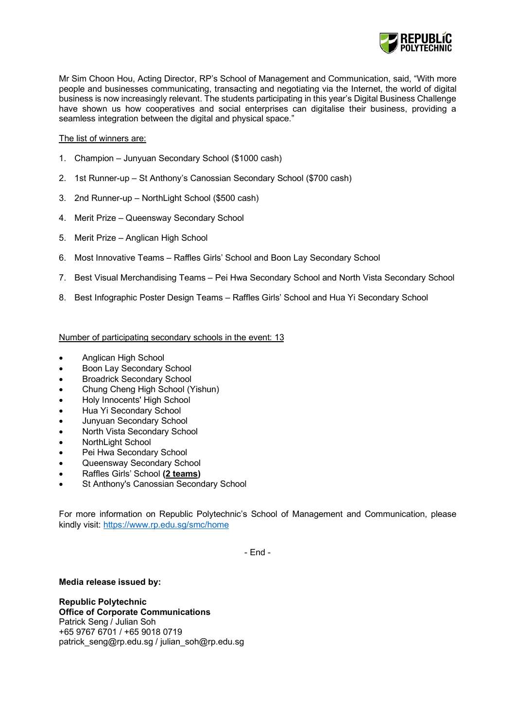

Mr Sim Choon Hou, Acting Director, RP's School of Management and Communication, said, "With more people and businesses communicating, transacting and negotiating via the Internet, the world of digital business is now increasingly relevant. The students participating in this year's Digital Business Challenge have shown us how cooperatives and social enterprises can digitalise their business, providing a seamless integration between the digital and physical space."

## The list of winners are:

- 1. Champion Junyuan Secondary School (\$1000 cash)
- 2. 1st Runner-up St Anthony's Canossian Secondary School (\$700 cash)
- 3. 2nd Runner-up NorthLight School (\$500 cash)
- 4. Merit Prize Queensway Secondary School
- 5. Merit Prize Anglican High School
- 6. Most Innovative Teams Raffles Girls' School and Boon Lay Secondary School
- 7. Best Visual Merchandising Teams Pei Hwa Secondary School and North Vista Secondary School
- 8. Best Infographic Poster Design Teams Raffles Girls' School and Hua Yi Secondary School

Number of participating secondary schools in the event: 13

- Anglican High School
- Boon Lay Secondary School
- Broadrick Secondary School
- Chung Cheng High School (Yishun)
- Holy Innocents' High School
- Hua Yi Secondary School
- Junyuan Secondary School
- North Vista Secondary School
- NorthLight School
- Pei Hwa Secondary School
- Queensway Secondary School
- Raffles Girls' School **(2 teams)**
- St Anthony's Canossian Secondary School

For more information on Republic Polytechnic's School of Management and Communication, please kindly visit: https://www.rp.edu.sg/smc/home

- End -

**Media release issued by:**

**Republic Polytechnic Office of Corporate Communications**  Patrick Seng / Julian Soh +65 9767 6701 / +65 9018 0719 patrick\_seng@rp.edu.sg / julian\_soh@rp.edu.sg